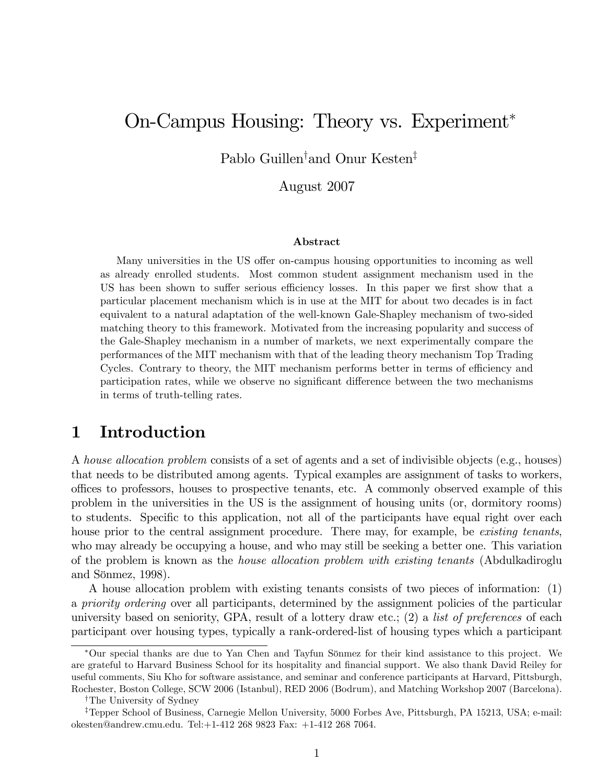# On-Campus Housing: Theory vs. Experiment

Pablo Guillen<sup>†</sup>and Onur Kesten<sup>‡</sup>

August 2007

#### Abstract

Many universities in the US offer on-campus housing opportunities to incoming as well as already enrolled students. Most common student assignment mechanism used in the US has been shown to suffer serious efficiency losses. In this paper we first show that a particular placement mechanism which is in use at the MIT for about two decades is in fact equivalent to a natural adaptation of the well-known Gale-Shapley mechanism of two-sided matching theory to this framework. Motivated from the increasing popularity and success of the Gale-Shapley mechanism in a number of markets, we next experimentally compare the performances of the MIT mechanism with that of the leading theory mechanism Top Trading Cycles. Contrary to theory, the MIT mechanism performs better in terms of efficiency and participation rates, while we observe no significant difference between the two mechanisms in terms of truth-telling rates.

## 1 Introduction

A house allocation problem consists of a set of agents and a set of indivisible objects (e.g., houses) that needs to be distributed among agents. Typical examples are assignment of tasks to workers, offices to professors, houses to prospective tenants, etc. A commonly observed example of this problem in the universities in the US is the assignment of housing units (or, dormitory rooms) to students. Specific to this application, not all of the participants have equal right over each house prior to the central assignment procedure. There may, for example, be existing tenants, who may already be occupying a house, and who may still be seeking a better one. This variation of the problem is known as the house allocation problem with existing tenants (Abdulkadiroglu and Sönmez,  $1998$ ).

A house allocation problem with existing tenants consists of two pieces of information: (1) a priority ordering over all participants, determined by the assignment policies of the particular university based on seniority, GPA, result of a lottery draw etc.;  $(2)$  a *list of preferences* of each participant over housing types, typically a rank-ordered-list of housing types which a participant

Our special thanks are due to Yan Chen and Tayfun Sˆnmez for their kind assistance to this project. We are grateful to Harvard Business School for its hospitality and financial support. We also thank David Reiley for useful comments, Siu Kho for software assistance, and seminar and conference participants at Harvard, Pittsburgh, Rochester, Boston College, SCW 2006 (Istanbul), RED 2006 (Bodrum), and Matching Workshop 2007 (Barcelona).

<sup>&</sup>lt;sup>†</sup>The University of Sydney

<sup>&</sup>lt;sup>‡</sup>Tepper School of Business, Carnegie Mellon University, 5000 Forbes Ave, Pittsburgh, PA 15213, USA; e-mail: okesten@andrew.cmu.edu. Tel:+1-412 268 9823 Fax: +1-412 268 7064.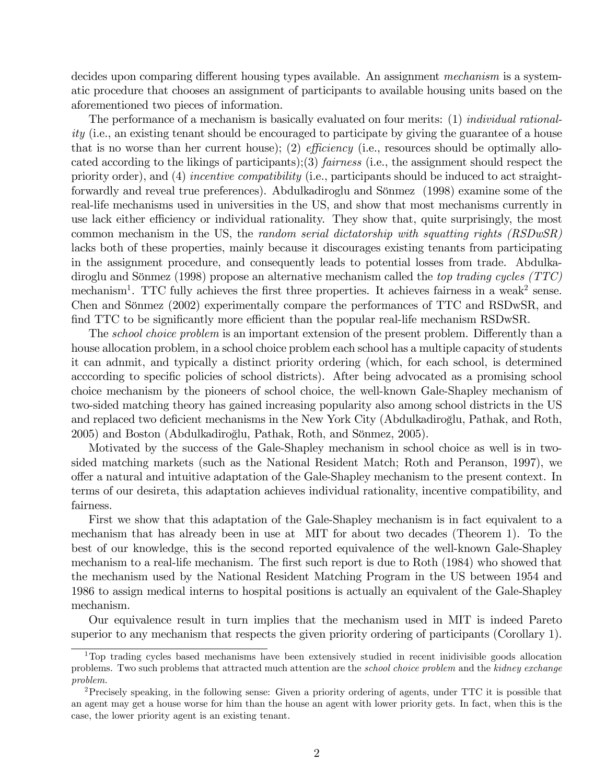decides upon comparing different housing types available. An assignment mechanism is a systematic procedure that chooses an assignment of participants to available housing units based on the aforementioned two pieces of information.

The performance of a mechanism is basically evaluated on four merits: (1) *individual rational*ity (i.e., an existing tenant should be encouraged to participate by giving the guarantee of a house that is no worse than her current house); (2) *efficiency* (i.e., resources should be optimally allocated according to the likings of participants);(3) fairness (i.e., the assignment should respect the priority order), and (4) incentive compatibility (i.e., participants should be induced to act straightforwardly and reveal true preferences). Abdulkadiroglu and Sönmez (1998) examine some of the real-life mechanisms used in universities in the US, and show that most mechanisms currently in use lack either efficiency or individual rationality. They show that, quite surprisingly, the most common mechanism in the US, the random serial dictatorship with squatting rights (RSDwSR) lacks both of these properties, mainly because it discourages existing tenants from participating in the assignment procedure, and consequently leads to potential losses from trade. Abdulkadiroglu and Sönmez (1998) propose an alternative mechanism called the top trading cycles (TTC) mechanism<sup>1</sup>. TTC fully achieves the first three properties. It achieves fairness in a weak<sup>2</sup> sense. Chen and Sönmez (2002) experimentally compare the performances of TTC and RSDwSR, and find TTC to be significantly more efficient than the popular real-life mechanism RSDwSR.

The *school choice problem* is an important extension of the present problem. Differently than a house allocation problem, in a school choice problem each school has a multiple capacity of students it can adnmit, and typically a distinct priority ordering (which, for each school, is determined acccording to specific policies of school districts). After being advocated as a promising school choice mechanism by the pioneers of school choice, the well-known Gale-Shapley mechanism of two-sided matching theory has gained increasing popularity also among school districts in the US and replaced two deficient mechanisms in the New York City (Abdulkadiroglu, Pathak, and Roth, 2005) and Boston (Abdulkadiroğlu, Pathak, Roth, and Sönmez, 2005).

Motivated by the success of the Gale-Shapley mechanism in school choice as well is in twosided matching markets (such as the National Resident Match; Roth and Peranson, 1997), we offer a natural and intuitive adaptation of the Gale-Shapley mechanism to the present context. In terms of our desireta, this adaptation achieves individual rationality, incentive compatibility, and fairness.

First we show that this adaptation of the Gale-Shapley mechanism is in fact equivalent to a mechanism that has already been in use at MIT for about two decades (Theorem 1). To the best of our knowledge, this is the second reported equivalence of the well-known Gale-Shapley mechanism to a real-life mechanism. The first such report is due to Roth (1984) who showed that the mechanism used by the National Resident Matching Program in the US between 1954 and 1986 to assign medical interns to hospital positions is actually an equivalent of the Gale-Shapley mechanism.

Our equivalence result in turn implies that the mechanism used in MIT is indeed Pareto superior to any mechanism that respects the given priority ordering of participants (Corollary 1).

<sup>&</sup>lt;sup>1</sup>Top trading cycles based mechanisms have been extensively studied in recent inidivisible goods allocation problems. Two such problems that attracted much attention are the *school choice problem* and the kidney exchange problem.

<sup>2</sup>Precisely speaking, in the following sense: Given a priority ordering of agents, under TTC it is possible that an agent may get a house worse for him than the house an agent with lower priority gets. In fact, when this is the case, the lower priority agent is an existing tenant.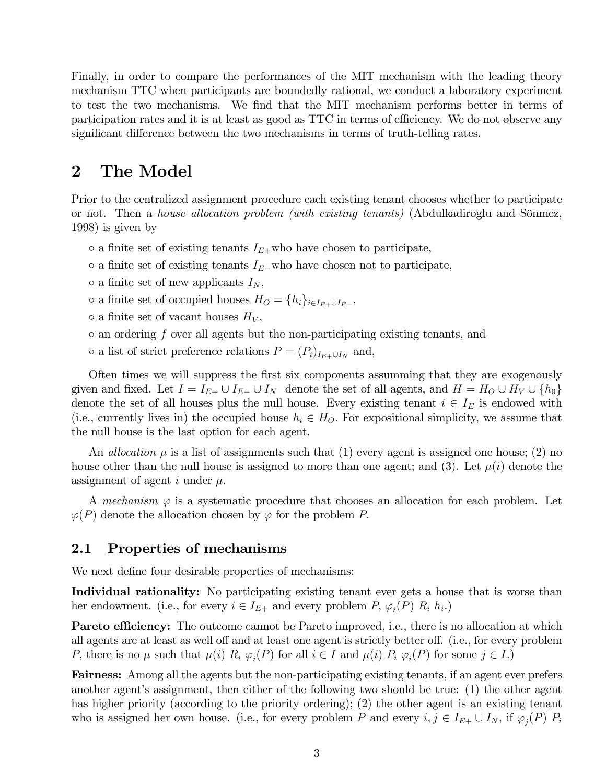Finally, in order to compare the performances of the MIT mechanism with the leading theory mechanism TTC when participants are boundedly rational, we conduct a laboratory experiment to test the two mechanisms. We find that the MIT mechanism performs better in terms of participation rates and it is at least as good as TTC in terms of efficiency. We do not observe any significant difference between the two mechanisms in terms of truth-telling rates.

# 2 The Model

Prior to the centralized assignment procedure each existing tenant chooses whether to participate or not. Then a *house allocation problem (with existing tenants)* (Abdulkadiroglu and Sönmez, 1998) is given by

- $\circ$  a finite set of existing tenants  $I_{E+}$ who have chosen to participate,
- $\circ$  a finite set of existing tenants  $I_{E}$ -who have chosen not to participate,
- $\circ$  a finite set of new applicants  $I_N$ ,
- $\circ$  a finite set of occupied houses  $H_O = \{h_i\}_{i \in I_{E+} \cup I_{E-}}$ ,
- $\circ$  a finite set of vacant houses  $H_V$ ,
- $\circ$  an ordering f over all agents but the non-participating existing tenants, and
- $\circ$  a list of strict preference relations  $P = (P_i)_{I_{E+} \cup I_N}$  and,

Often times we will suppress the first six components assumming that they are exogenously given and fixed. Let  $I = I_{E+} \cup I_{E-} \cup I_N$  denote the set of all agents, and  $H = H_O \cup H_V \cup \{h_0\}$ denote the set of all houses plus the null house. Every existing tenant  $i \in I_E$  is endowed with (i.e., currently lives in) the occupied house  $h_i \in H_O$ . For expositional simplicity, we assume that the null house is the last option for each agent.

An *allocation*  $\mu$  is a list of assignments such that (1) every agent is assigned one house; (2) no house other than the null house is assigned to more than one agent; and (3). Let  $\mu(i)$  denote the assignment of agent i under  $\mu$ .

A mechanism  $\varphi$  is a systematic procedure that chooses an allocation for each problem. Let  $\varphi(P)$  denote the allocation chosen by  $\varphi$  for the problem P.

### 2.1 Properties of mechanisms

We next define four desirable properties of mechanisms:

Individual rationality: No participating existing tenant ever gets a house that is worse than her endowment. (i.e., for every  $i \in I_{E+}$  and every problem P,  $\varphi_i(P)$   $R_i$   $h_i$ .)

**Pareto efficiency:** The outcome cannot be Pareto improved, i.e., there is no allocation at which all agents are at least as well off and at least one agent is strictly better off. (i.e., for every problem P, there is no  $\mu$  such that  $\mu(i)$   $R_i \varphi_i(P)$  for all  $i \in I$  and  $\mu(i)$   $P_i \varphi_i(P)$  for some  $j \in I$ .)

Fairness: Among all the agents but the non-participating existing tenants, if an agent ever prefers another agent's assignment, then either of the following two should be true: (1) the other agent has higher priority (according to the priority ordering); (2) the other agent is an existing tenant who is assigned her own house. (i.e., for every problem P and every  $i, j \in I_{E+} \cup I_N$ , if  $\varphi_j(P)$   $P_i$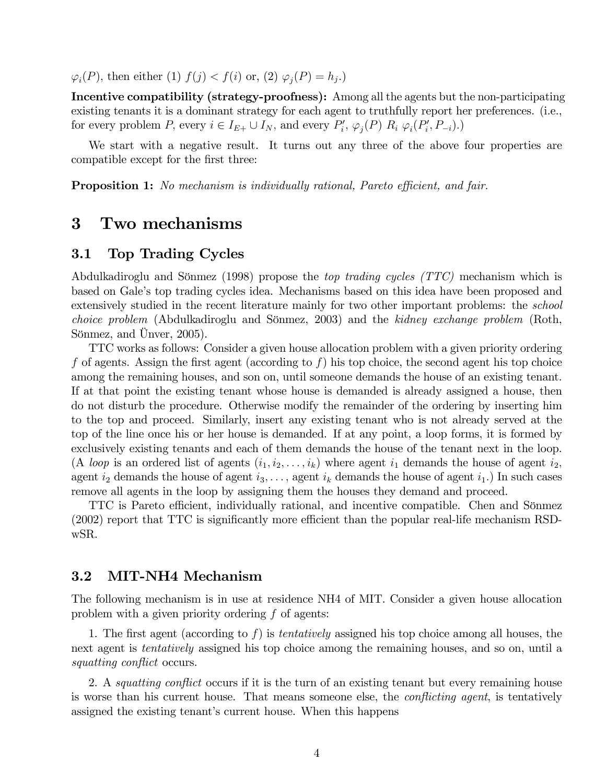$\varphi_i(P)$ , then either (1)  $f(j) < f(i)$  or, (2)  $\varphi_j(P) = h_j$ .)

Incentive compatibility (strategy-proofness): Among all the agents but the non-participating existing tenants it is a dominant strategy for each agent to truthfully report her preferences. (i.e., for every problem P, every  $i \in I_{E+} \cup I_N$ , and every  $P'_i$ ,  $\varphi_j(P)$   $R_i$   $\varphi_i(P'_i, P_{-i})$ .)

We start with a negative result. It turns out any three of the above four properties are compatible except for the first three:

**Proposition 1:** No mechanism is individually rational, Pareto efficient, and fair.

# 3 Two mechanisms

### 3.1 Top Trading Cycles

Abdulkadiroglu and Sönmez (1998) propose the *top trading cycles (TTC)* mechanism which is based on Galeís top trading cycles idea. Mechanisms based on this idea have been proposed and extensively studied in the recent literature mainly for two other important problems: the school choice problem (Abdulkadiroglu and Sönmez, 2003) and the kidney exchange problem (Roth, Sönmez, and Unver,  $2005$ ).

TTC works as follows: Consider a given house allocation problem with a given priority ordering f of agents. Assign the first agent (according to f) his top choice, the second agent his top choice among the remaining houses, and son on, until someone demands the house of an existing tenant. If at that point the existing tenant whose house is demanded is already assigned a house, then do not disturb the procedure. Otherwise modify the remainder of the ordering by inserting him to the top and proceed. Similarly, insert any existing tenant who is not already served at the top of the line once his or her house is demanded. If at any point, a loop forms, it is formed by exclusively existing tenants and each of them demands the house of the tenant next in the loop. (A loop is an ordered list of agents  $(i_1, i_2, \ldots, i_k)$  where agent  $i_1$  demands the house of agent  $i_2$ , agent  $i_2$  demands the house of agent  $i_3, \ldots$ , agent  $i_k$  demands the house of agent  $i_1$ .) In such cases remove all agents in the loop by assigning them the houses they demand and proceed.

TTC is Pareto efficient, individually rational, and incentive compatible. Chen and Sönmez  $(2002)$  report that TTC is significantly more efficient than the popular real-life mechanism RSDwSR.

### 3.2 MIT-NH4 Mechanism

The following mechanism is in use at residence NH4 of MIT. Consider a given house allocation problem with a given priority ordering  $f$  of agents:

1. The first agent (according to f) is *tentatively* assigned his top choice among all houses, the next agent is tentatively assigned his top choice among the remaining houses, and so on, until a squatting conflict occurs.

2. A *squatting conflict* occurs if it is the turn of an existing tenant but every remaining house is worse than his current house. That means someone else, the *conflicting agent*, is tentatively assigned the existing tenant's current house. When this happens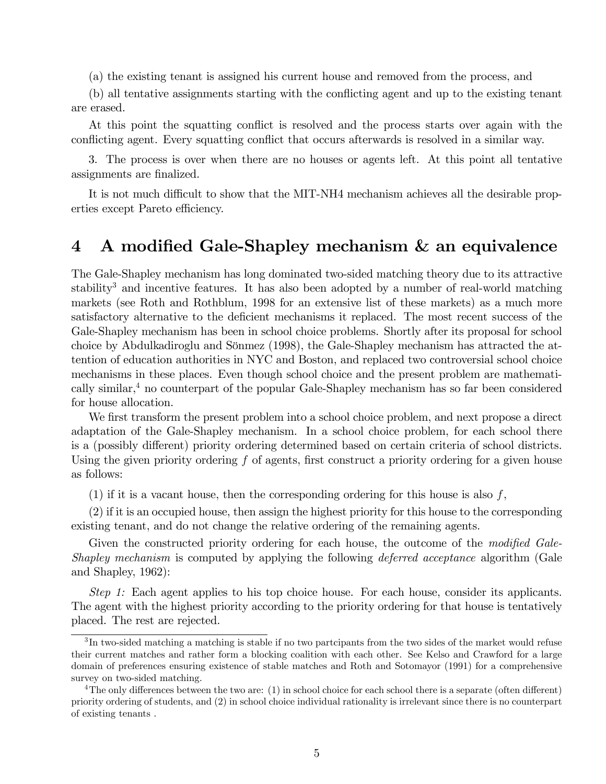(a) the existing tenant is assigned his current house and removed from the process, and

(b) all tentative assignments starting with the conflicting agent and up to the existing tenant are erased.

At this point the squatting conflict is resolved and the process starts over again with the conflicting agent. Every squatting conflict that occurs afterwards is resolved in a similar way.

3. The process is over when there are no houses or agents left. At this point all tentative assignments are finalized.

It is not much difficult to show that the MIT-NH4 mechanism achieves all the desirable properties except Pareto efficiency.

# 4 A modified Gale-Shapley mechanism & an equivalence

The Gale-Shapley mechanism has long dominated two-sided matching theory due to its attractive stability<sup>3</sup> and incentive features. It has also been adopted by a number of real-world matching markets (see Roth and Rothblum, 1998 for an extensive list of these markets) as a much more satisfactory alternative to the deficient mechanisms it replaced. The most recent success of the Gale-Shapley mechanism has been in school choice problems. Shortly after its proposal for school choice by Abdulkadiroglu and Sönmez (1998), the Gale-Shapley mechanism has attracted the attention of education authorities in NYC and Boston, and replaced two controversial school choice mechanisms in these places. Even though school choice and the present problem are mathematically similar, $4$  no counterpart of the popular Gale-Shapley mechanism has so far been considered for house allocation.

We first transform the present problem into a school choice problem, and next propose a direct adaptation of the Gale-Shapley mechanism. In a school choice problem, for each school there is a (possibly different) priority ordering determined based on certain criteria of school districts. Using the given priority ordering  $f$  of agents, first construct a priority ordering for a given house as follows:

(1) if it is a vacant house, then the corresponding ordering for this house is also  $f$ ,

(2) if it is an occupied house, then assign the highest priority for this house to the corresponding existing tenant, and do not change the relative ordering of the remaining agents.

Given the constructed priority ordering for each house, the outcome of the modified Gale-Shapley mechanism is computed by applying the following *deferred acceptance* algorithm (Gale and Shapley, 1962):

Step 1: Each agent applies to his top choice house. For each house, consider its applicants. The agent with the highest priority according to the priority ordering for that house is tentatively placed. The rest are rejected.

 ${}^{3}$ In two-sided matching a matching is stable if no two partcipants from the two sides of the market would refuse their current matches and rather form a blocking coalition with each other. See Kelso and Crawford for a large domain of preferences ensuring existence of stable matches and Roth and Sotomayor (1991) for a comprehensive survey on two-sided matching.

<sup>&</sup>lt;sup>4</sup>The only differences between the two are: (1) in school choice for each school there is a separate (often different) priority ordering of students, and (2) in school choice individual rationality is irrelevant since there is no counterpart of existing tenants .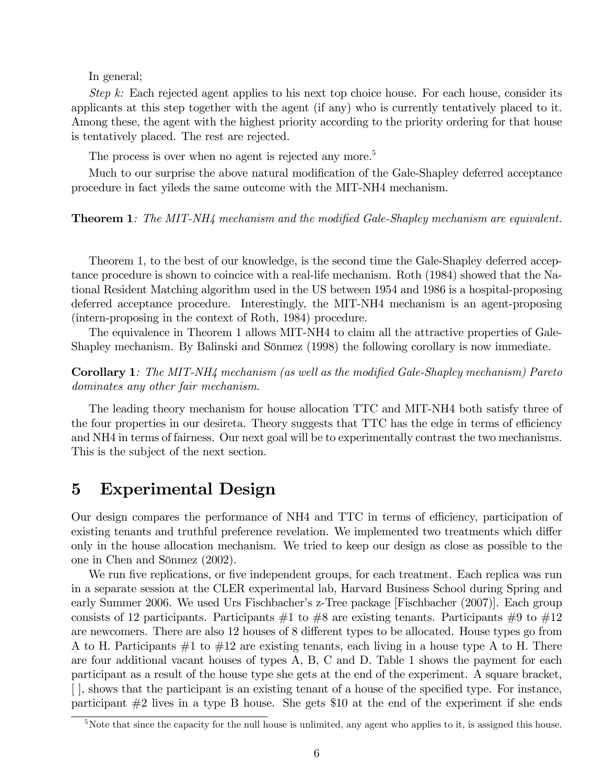In general;

Step k: Each rejected agent applies to his next top choice house. For each house, consider its applicants at this step together with the agent (if any) who is currently tentatively placed to it. Among these, the agent with the highest priority according to the priority ordering for that house is tentatively placed. The rest are rejected.

The process is over when no agent is rejected any more.<sup>5</sup>

Much to our surprise the above natural modification of the Gale-Shapley deferred acceptance procedure in fact yileds the same outcome with the MIT-NH4 mechanism.

#### **Theorem 1:** The MIT-NH4 mechanism and the modified Gale-Shapley mechanism are equivalent.

Theorem 1, to the best of our knowledge, is the second time the Gale-Shapley deferred acceptance procedure is shown to coincice with a real-life mechanism. Roth (1984) showed that the National Resident Matching algorithm used in the US between 1954 and 1986 is a hospital-proposing deferred acceptance procedure. Interestingly, the MIT-NH4 mechanism is an agent-proposing (intern-proposing in the context of Roth, 1984) procedure.

The equivalence in Theorem 1 allows MIT-NH4 to claim all the attractive properties of Gale-Shapley mechanism. By Balinski and Sönmez (1998) the following corollary is now immediate.

Corollary 1: The MIT-NH4 mechanism (as well as the modified Gale-Shapley mechanism) Pareto dominates any other fair mechanism.

The leading theory mechanism for house allocation TTC and MIT-NH4 both satisfy three of the four properties in our desireta. Theory suggests that TTC has the edge in terms of efficiency and NH4 in terms of fairness. Our next goal will be to experimentally contrast the two mechanisms. This is the subject of the next section.

## 5 Experimental Design

Our design compares the performance of NH4 and TTC in terms of efficiency, participation of existing tenants and truthful preference revelation. We implemented two treatments which differ only in the house allocation mechanism. We tried to keep our design as close as possible to the one in Chen and Sönmez (2002).

We run five replications, or five independent groups, for each treatment. Each replica was run in a separate session at the CLER experimental lab, Harvard Business School during Spring and early Summer 2006. We used Urs Fischbacher's z-Tree package [Fischbacher (2007)]. Each group consists of 12 participants. Participants  $\#1$  to  $\#8$  are existing tenants. Participants  $\#9$  to  $\#12$ are newcomers. There are also 12 houses of 8 different types to be allocated. House types go from A to H. Participants  $\#1$  to  $\#12$  are existing tenants, each living in a house type A to H. There are four additional vacant houses of types A, B, C and D. Table 1 shows the payment for each participant as a result of the house type she gets at the end of the experiment. A square bracket,  $\lceil \cdot \rceil$ , shows that the participant is an existing tenant of a house of the specified type. For instance, participant #2 lives in a type B house. She gets \$10 at the end of the experiment if she ends

<sup>&</sup>lt;sup>5</sup>Note that since the capacity for the null house is unlimited, any agent who applies to it, is assigned this house.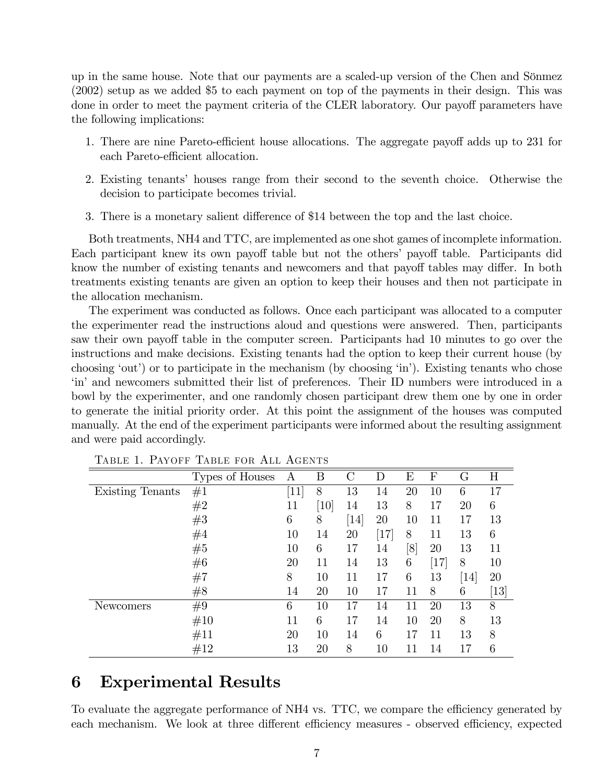up in the same house. Note that our payments are a scaled-up version of the Chen and Sˆnmez (2002) setup as we added \$5 to each payment on top of the payments in their design. This was done in order to meet the payment criteria of the CLER laboratory. Our payoff parameters have the following implications:

- 1. There are nine Pareto-efficient house allocations. The aggregate payoff adds up to 231 for each Pareto-efficient allocation.
- 2. Existing tenants' houses range from their second to the seventh choice. Otherwise the decision to participate becomes trivial.
- 3. There is a monetary salient difference of \$14 between the top and the last choice.

Both treatments, NH4 and TTC, are implemented as one shot games of incomplete information. Each participant knew its own payoff table but not the others' payoff table. Participants did know the number of existing tenants and newcomers and that payoff tables may differ. In both treatments existing tenants are given an option to keep their houses and then not participate in the allocation mechanism.

The experiment was conducted as follows. Once each participant was allocated to a computer the experimenter read the instructions aloud and questions were answered. Then, participants saw their own payoff table in the computer screen. Participants had 10 minutes to go over the instructions and make decisions. Existing tenants had the option to keep their current house (by choosing 'out') or to participate in the mechanism (by choosing 'in'). Existing tenants who chose ëiní and newcomers submitted their list of preferences. Their ID numbers were introduced in a bowl by the experimenter, and one randomly chosen participant drew them one by one in order to generate the initial priority order. At this point the assignment of the houses was computed manually. At the end of the experiment participants were informed about the resulting assignment and were paid accordingly.

|                  | Types of Houses | A      | B                             | $\rm C$                       | D    | E   | F    | G                | Η                 |
|------------------|-----------------|--------|-------------------------------|-------------------------------|------|-----|------|------------------|-------------------|
| Existing Tenants | #1              | $[11]$ | 8                             | 13                            | 14   | 20  | 10   | 6                | 17                |
|                  | #2              | 11     | $\left\lceil 10 \right\rceil$ | 14                            | 13   | 8   | 17   | 20               | 6                 |
|                  | #3              | 6      | 8                             | $\left\lceil 14 \right\rceil$ | 20   | 10  | 11   | 17               | 13                |
|                  | #4              | 10     | 14                            | 20                            | [17] | 8   | 11   | 13               | 6                 |
|                  | #5              | 10     | 6                             | 17                            | 14   | [8] | 20   | 13               | 11                |
|                  | #6              | 20     | 11                            | 14                            | 13   | 6   | [17] | 8                | 10                |
|                  | #7              | 8      | 10                            | 11                            | 17   | 6   | 13   | $\vert 14 \vert$ | 20                |
|                  | #8              | 14     | 20                            | 10                            | 17   | 11  | 8    | 6                | $\left[13\right]$ |
| Newcomers        | #9              | 6      | 10                            | 17                            | 14   | 11  | 20   | 13               | 8                 |
|                  | #10             | 11     | 6                             | 17                            | 14   | 10  | 20   | 8                | 13                |
|                  | #11             | 20     | 10                            | 14                            | 6    | 17  | 11   | 13               | 8                 |
|                  | #12             | 13     | 20                            | 8                             | 10   |     | 14   | 17               | 6                 |

Table 1. Payoff Table for All Agents

# 6 Experimental Results

To evaluate the aggregate performance of NH4 vs. TTC, we compare the efficiency generated by each mechanism. We look at three different efficiency measures - observed efficiency, expected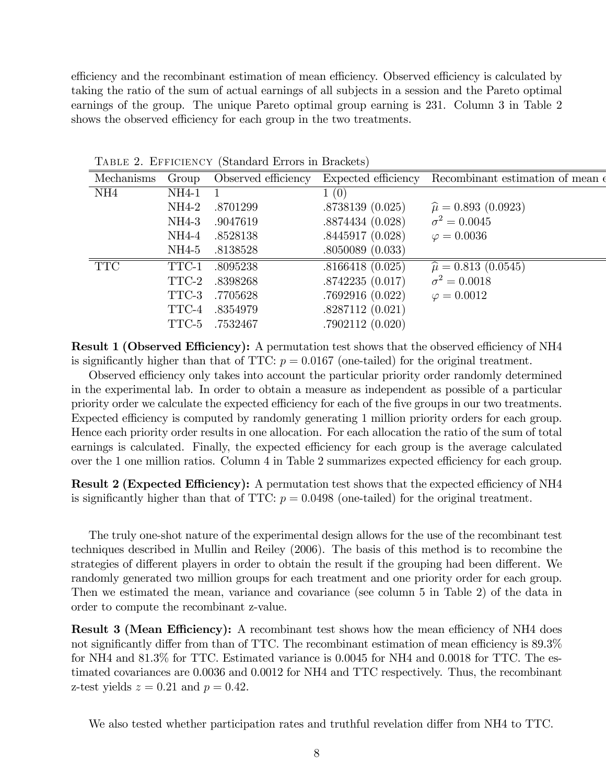efficiency and the recombinant estimation of mean efficiency. Observed efficiency is calculated by taking the ratio of the sum of actual earnings of all subjects in a session and the Pareto optimal earnings of the group. The unique Pareto optimal group earning is 231. Column 3 in Table 2 shows the observed efficiency for each group in the two treatments.

| Mechanisms      | Group   | Observed efficiency |                 | Expected efficiency Recombinant estimation of mean $\epsilon$ |  |
|-----------------|---------|---------------------|-----------------|---------------------------------------------------------------|--|
| NH <sub>4</sub> | NH4-1   |                     | 1(0)            |                                                               |  |
|                 | NH4-2   | .8701299            | .8738139(0.025) | $\hat{\mu} = 0.893$ (0.0923)                                  |  |
|                 | $NH4-3$ | .9047619            | .8874434(0.028) | $\sigma^2 = 0.0045$                                           |  |
|                 | NH4-4   | .8528138            | .8445917(0.028) | $\varphi = 0.0036$                                            |  |
|                 | NH4-5   | .8138528            | .8050089(0.033) |                                                               |  |
| <b>TTC</b>      | TTC-1   | .8095238            | .8166418(0.025) | $\hat{\mu} = 0.813$ (0.0545)                                  |  |
|                 | TTC-2   | .8398268            | .8742235(0.017) | $\sigma^2 = 0.0018$                                           |  |
|                 | TTC-3   | .7705628            | .7692916(0.022) | $\varphi = 0.0012$                                            |  |
|                 | TTC-4   | .8354979            | .8287112(0.021) |                                                               |  |
|                 | TTC-5   | .7532467            | .7902112(0.020) |                                                               |  |
|                 |         |                     |                 |                                                               |  |

Table 2. Efficiency (Standard Errors in Brackets)

**Result 1 (Observed Efficiency):** A permutation test shows that the observed efficiency of NH4 is significantly higher than that of TTC:  $p = 0.0167$  (one-tailed) for the original treatment.

Observed efficiency only takes into account the particular priority order randomly determined in the experimental lab. In order to obtain a measure as independent as possible of a particular priority order we calculate the expected efficiency for each of the five groups in our two treatments. Expected efficiency is computed by randomly generating 1 million priority orders for each group. Hence each priority order results in one allocation. For each allocation the ratio of the sum of total earnings is calculated. Finally, the expected efficiency for each group is the average calculated over the 1 one million ratios. Column 4 in Table 2 summarizes expected efficiency for each group.

**Result 2 (Expected Efficiency):** A permutation test shows that the expected efficiency of NH4 is significantly higher than that of TTC:  $p = 0.0498$  (one-tailed) for the original treatment.

The truly one-shot nature of the experimental design allows for the use of the recombinant test techniques described in Mullin and Reiley (2006). The basis of this method is to recombine the strategies of different players in order to obtain the result if the grouping had been different. We randomly generated two million groups for each treatment and one priority order for each group. Then we estimated the mean, variance and covariance (see column 5 in Table 2) of the data in order to compute the recombinant z-value.

**Result 3 (Mean Efficiency):** A recombinant test shows how the mean efficiency of NH4 does not significantly differ from than of TTC. The recombinant estimation of mean efficiency is  $89.3\%$ for NH4 and 81.3% for TTC. Estimated variance is 0.0045 for NH4 and 0.0018 for TTC. The estimated covariances are 0.0036 and 0.0012 for NH4 and TTC respectively. Thus, the recombinant z-test yields  $z = 0.21$  and  $p = 0.42$ .

We also tested whether participation rates and truthful revelation differ from NH4 to TTC.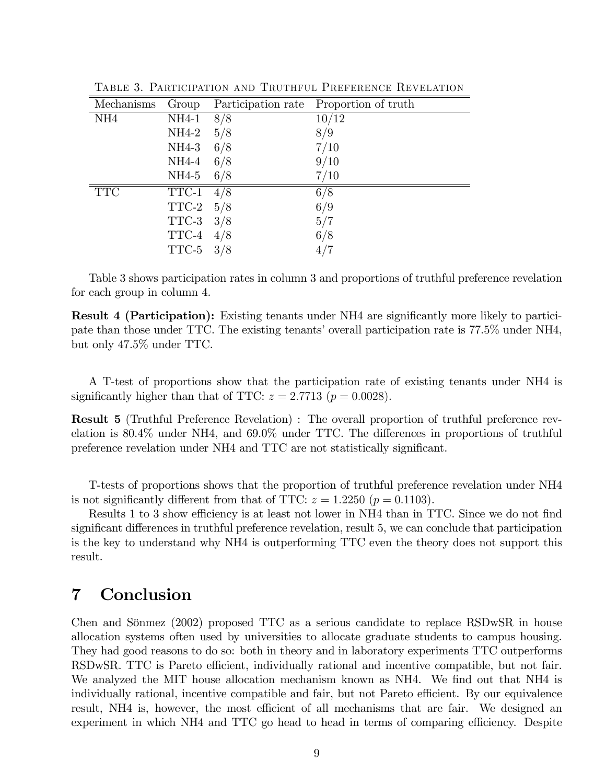| Mechanisms      | Group                                | Participation rate | Proportion of truth |
|-----------------|--------------------------------------|--------------------|---------------------|
| NH <sub>4</sub> | $NH4-1$                              | 8/8                | 10/12               |
|                 | NH4-2                                | 5/8                | 8/9                 |
|                 | NH4-3                                | 6/8                | 7/10                |
|                 | $NH4-4$                              | 6/8                | 9/10                |
|                 | NH4-5                                | 6/8                | 7/10                |
| <b>TTC</b>      | $\ensuremath{\mathsf{TTC}\text{-}1}$ | 4/8                | 6/8                 |
|                 | TTC-2                                | 5/8                | 6/9                 |
|                 | TTC-3                                | 3/8                | 5/7                 |
|                 | TTC-4                                | 4/8                | 6/8                 |
|                 | TTC-5                                | 3/8                |                     |

Table 3. Participation and Truthful Preference Revelation

Table 3 shows participation rates in column 3 and proportions of truthful preference revelation for each group in column 4.

**Result 4 (Participation):** Existing tenants under NH4 are significantly more likely to participate than those under TTC. The existing tenants' overall participation rate is 77.5% under NH4, but only 47.5% under TTC.

A T-test of proportions show that the participation rate of existing tenants under NH4 is significantly higher than that of TTC:  $z = 2.7713$  ( $p = 0.0028$ ).

Result 5 (Truthful Preference Revelation) : The overall proportion of truthful preference revelation is  $80.4\%$  under NH4, and  $69.0\%$  under TTC. The differences in proportions of truthful preference revelation under NH4 and TTC are not statistically significant.

T-tests of proportions shows that the proportion of truthful preference revelation under NH4 is not significantly different from that of TTC:  $z = 1.2250$  ( $p = 0.1103$ ).

Results 1 to 3 show efficiency is at least not lower in NH4 than in TTC. Since we do not find significant differences in truthful preference revelation, result 5, we can conclude that participation is the key to understand why NH4 is outperforming TTC even the theory does not support this result.

# 7 Conclusion

Chen and Sönmez (2002) proposed TTC as a serious candidate to replace RSDwSR in house allocation systems often used by universities to allocate graduate students to campus housing. They had good reasons to do so: both in theory and in laboratory experiments TTC outperforms RSDwSR. TTC is Pareto efficient, individually rational and incentive compatible, but not fair. We analyzed the MIT house allocation mechanism known as NH4. We find out that NH4 is individually rational, incentive compatible and fair, but not Pareto efficient. By our equivalence result, NH4 is, however, the most efficient of all mechanisms that are fair. We designed an experiment in which NH4 and TTC go head to head in terms of comparing efficiency. Despite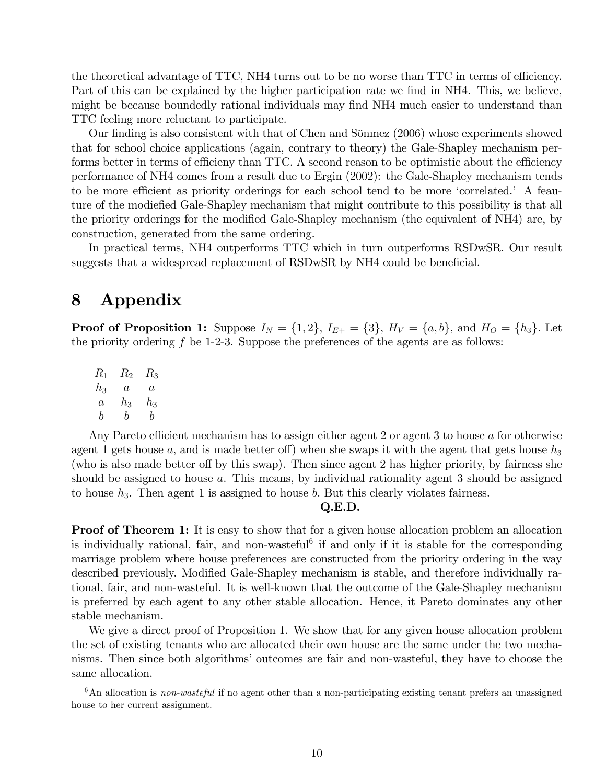the theoretical advantage of TTC, NH4 turns out to be no worse than TTC in terms of efficiency. Part of this can be explained by the higher participation rate we find in NH4. This, we believe, might be because boundedly rational individuals may find NH4 much easier to understand than TTC feeling more reluctant to participate.

Our finding is also consistent with that of Chen and Sönmez (2006) whose experiments showed that for school choice applications (again, contrary to theory) the Gale-Shapley mechanism performs better in terms of efficieny than TTC. A second reason to be optimistic about the efficiency performance of NH4 comes from a result due to Ergin (2002): the Gale-Shapley mechanism tends to be more efficient as priority orderings for each school tend to be more 'correlated.' A feauture of the modie fied Gale-Shapley mechanism that might contribute to this possibility is that all the priority orderings for the modified Gale-Shapley mechanism (the equivalent of NH4) are, by construction, generated from the same ordering.

In practical terms, NH4 outperforms TTC which in turn outperforms RSDwSR. Our result suggests that a widespread replacement of RSDwSR by NH4 could be beneficial.

# 8 Appendix

**Proof of Proposition 1:** Suppose  $I_N = \{1, 2\}$ ,  $I_{E+} = \{3\}$ ,  $H_V = \{a, b\}$ , and  $H_O = \{h_3\}$ . Let the priority ordering  $f$  be 1-2-3. Suppose the preferences of the agents are as follows:

 $R_1$   $R_2$   $R_3$  $h_3$  a a  $a$   $h_3$   $h_3$ b b b

Any Pareto efficient mechanism has to assign either agent 2 or agent 3 to house  $a$  for otherwise agent 1 gets house a, and is made better of ) when she swaps it with the agent that gets house  $h_3$ (who is also made better off by this swap). Then since agent 2 has higher priority, by fairness she should be assigned to house a. This means, by individual rationality agent 3 should be assigned to house  $h_3$ . Then agent 1 is assigned to house b. But this clearly violates fairness.

#### Q.E.D.

Proof of Theorem 1: It is easy to show that for a given house allocation problem an allocation is individually rational, fair, and non-wasteful<sup>6</sup> if and only if it is stable for the corresponding marriage problem where house preferences are constructed from the priority ordering in the way described previously. Modified Gale-Shapley mechanism is stable, and therefore individually rational, fair, and non-wasteful. It is well-known that the outcome of the Gale-Shapley mechanism is preferred by each agent to any other stable allocation. Hence, it Pareto dominates any other stable mechanism.

We give a direct proof of Proposition 1. We show that for any given house allocation problem the set of existing tenants who are allocated their own house are the same under the two mechanisms. Then since both algorithms' outcomes are fair and non-wasteful, they have to choose the same allocation.

 $6$ An allocation is *non-wasteful* if no agent other than a non-participating existing tenant prefers an unassigned house to her current assignment.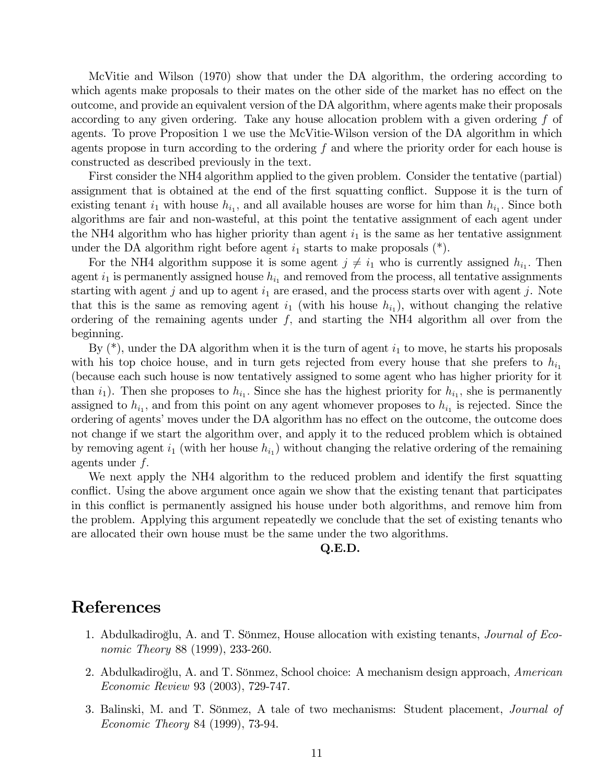McVitie and Wilson (1970) show that under the DA algorithm, the ordering according to which agents make proposals to their mates on the other side of the market has no effect on the outcome, and provide an equivalent version of the DA algorithm, where agents make their proposals according to any given ordering. Take any house allocation problem with a given ordering f of agents. To prove Proposition 1 we use the McVitie-Wilson version of the DA algorithm in which agents propose in turn according to the ordering f and where the priority order for each house is constructed as described previously in the text.

First consider the NH4 algorithm applied to the given problem. Consider the tentative (partial) assignment that is obtained at the end of the first squatting conflict. Suppose it is the turn of existing tenant  $i_1$  with house  $h_{i_1}$ , and all available houses are worse for him than  $h_{i_1}$ . Since both algorithms are fair and non-wasteful, at this point the tentative assignment of each agent under the NH4 algorithm who has higher priority than agent  $i_1$  is the same as her tentative assignment under the DA algorithm right before agent  $i_1$  starts to make proposals  $(*)$ .

For the NH4 algorithm suppose it is some agent  $j \neq i_1$  who is currently assigned  $h_{i_1}$ . Then agent  $i_1$  is permanently assigned house  $h_{i_1}$  and removed from the process, all tentative assignments starting with agent  $j$  and up to agent  $i_1$  are erased, and the process starts over with agent  $j$ . Note that this is the same as removing agent  $i_1$  (with his house  $h_{i_1}$ ), without changing the relative ordering of the remaining agents under  $f$ , and starting the NH4 algorithm all over from the beginning.

By  $(*)$ , under the DA algorithm when it is the turn of agent  $i_1$  to move, he starts his proposals with his top choice house, and in turn gets rejected from every house that she prefers to  $h_{i_1}$ (because each such house is now tentatively assigned to some agent who has higher priority for it than  $i_1$ ). Then she proposes to  $h_{i_1}$ . Since she has the highest priority for  $h_{i_1}$ , she is permanently assigned to  $h_{i_1}$ , and from this point on any agent whomever proposes to  $h_{i_1}$  is rejected. Since the ordering of agents' moves under the DA algorithm has no effect on the outcome, the outcome does not change if we start the algorithm over, and apply it to the reduced problem which is obtained by removing agent  $i_1$  (with her house  $h_{i_1}$ ) without changing the relative ordering of the remaining agents under f:

We next apply the NH4 algorithm to the reduced problem and identify the first squatting conflict. Using the above argument once again we show that the existing tenant that participates in this conflict is permanently assigned his house under both algorithms, and remove him from the problem. Applying this argument repeatedly we conclude that the set of existing tenants who are allocated their own house must be the same under the two algorithms.

#### Q.E.D.

## References

- 1. Abdulkadiroglu, A. and T. Sönmez, House allocation with existing tenants, *Journal of Eco*nomic Theory 88 (1999), 233-260.
- 2. Abdulkadiroğlu, A. and T. Sönmez, School choice: A mechanism design approach, American Economic Review 93 (2003), 729-747.
- 3. Balinski, M. and T. Sönmez, A tale of two mechanisms: Student placement, *Journal of* Economic Theory 84 (1999), 73-94.